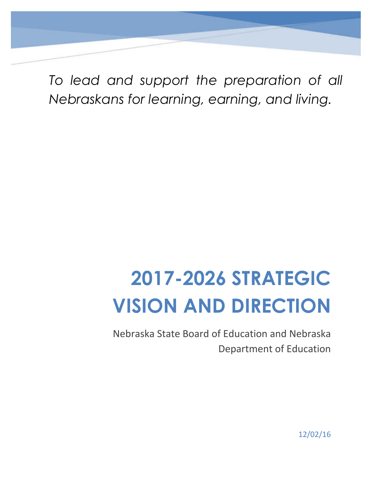*To lead and support the preparation of all Nebraskans for learning, earning, and living.*

# **2017-2026 STRATEGIC VISION AND DIRECTION**

Nebraska State Board of Education and Nebraska Department of Education

12/02/16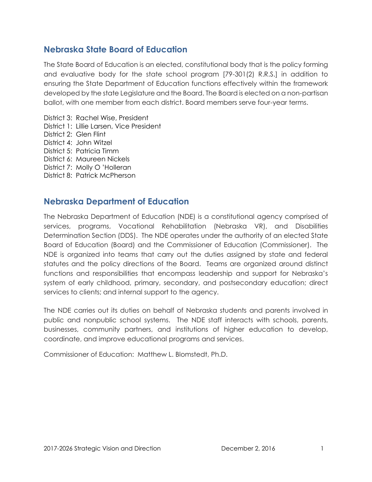# **Nebraska State Board of Education**

The State Board of Education is an elected, constitutional body that is the policy forming and evaluative body for the state school program [79-301(2) R.R.S.] in addition to ensuring the State Department of Education functions effectively within the framework developed by the state Legislature and the Board. The Board is elected on a non-partisan ballot, with one member from each district. Board members serve four-year terms.

District 3: Rachel Wise, President District 1: Lillie Larsen, Vice President District 2: Glen Flint District 4: John Witzel District 5: Patricia Timm District 6: Maureen Nickels District 7: Molly O 'Holleran District 8: Patrick McPherson

# **Nebraska Department of Education**

The Nebraska Department of Education (NDE) is a constitutional agency comprised of services, programs, Vocational Rehabilitation (Nebraska VR), and Disabilities Determination Section (DDS). The NDE operates under the authority of an elected State Board of Education (Board) and the Commissioner of Education (Commissioner). The NDE is organized into teams that carry out the duties assigned by state and federal statutes and the policy directions of the Board. Teams are organized around distinct functions and responsibilities that encompass leadership and support for Nebraska's system of early childhood, primary, secondary, and postsecondary education; direct services to clients; and internal support to the agency.

The NDE carries out its duties on behalf of Nebraska students and parents involved in public and nonpublic school systems. The NDE staff interacts with schools, parents, businesses, community partners, and institutions of higher education to develop, coordinate, and improve educational programs and services.

Commissioner of Education: Matthew L. Blomstedt, Ph.D.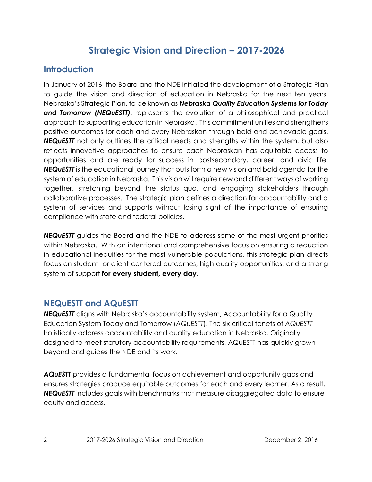# **Strategic Vision and Direction – 2017-2026**

# **Introduction**

In January of 2016, the Board and the NDE initiated the development of a Strategic Plan to guide the vision and direction of education in Nebraska for the next ten years. Nebraska's Strategic Plan, to be known as *Nebraska Quality Education Systems for Today and Tomorrow (NEQuESTT)*, represents the evolution of a philosophical and practical approach to supporting education in Nebraska. This commitment unifies and strengthens positive outcomes for each and every Nebraskan through bold and achievable goals. **NEQUESTT** not only outlines the critical needs and strengths within the system, but also reflects innovative approaches to ensure each Nebraskan has equitable access to opportunities and are ready for success in postsecondary, career, and civic life. *NEQuESTT* is the educational journey that puts forth a new vision and bold agenda for the system of education in Nebraska. This vision will require new and different ways of working together, stretching beyond the status quo, and engaging stakeholders through collaborative processes. The strategic plan defines a direction for accountability and a system of services and supports without losing sight of the importance of ensuring compliance with state and federal policies.

*NEQuESTT* guides the Board and the NDE to address some of the most urgent priorities within Nebraska. With an intentional and comprehensive focus on ensuring a reduction in educational inequities for the most vulnerable populations, this strategic plan directs focus on student- or client-centered outcomes, high quality opportunities, and a strong system of support **for every student, every day**.

# **NEQuESTT and AQuESTT**

*NEQuESTT* aligns with Nebraska's accountability system, Accountability for a Quality Education System Today and Tomorrow (*AQuESTT*). The six critical tenets of *AQuESTT*  holistically address accountability and quality education in Nebraska. Originally designed to meet statutory accountability requirements, AQuESTT has quickly grown beyond and guides the NDE and its work.

*AQuESTT* provides a fundamental focus on achievement and opportunity gaps and ensures strategies produce equitable outcomes for each and every learner. As a result, *NEQuESTT* includes goals with benchmarks that measure disaggregated data to ensure equity and access.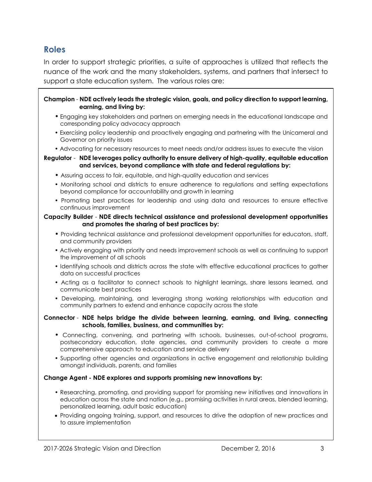# **Roles**

In order to support strategic priorities, a suite of approaches is utilized that reflects the nuance of the work and the many stakeholders, systems, and partners that intersect to support a state education system. The various roles are:

#### **Champion** - **NDE actively leads the strategic vision, goals, and policy direction to support learning, earning, and living by:**

- Engaging key stakeholders and partners on emerging needs in the educational landscape and corresponding policy advocacy approach
- Exercising policy leadership and proactively engaging and partnering with the Unicameral and Governor on priority issues
- Advocating for necessary resources to meet needs and/or address issues to execute the vision

**Regulator** - **NDE leverages policy authority to ensure delivery of high-quality, equitable education and services, beyond compliance with state and federal regulations by:** 

- Assuring access to fair, equitable, and high-quality education and services
- Monitoring school and districts to ensure adherence to regulations and setting expectations beyond compliance for accountability and growth in learning
- Promoting best practices for leadership and using data and resources to ensure effective continuous improvement

#### **Capacity Builder** - **NDE directs technical assistance and professional development opportunities and promotes the sharing of best practices by:**

- Providing technical assistance and professional development opportunities for educators, staff, and community providers
- Actively engaging with priority and needs improvement schools as well as continuing to support the improvement of all schools
- Identifying schools and districts across the state with effective educational practices to gather data on successful practices
- Acting as a facilitator to connect schools to highlight learnings, share lessons learned, and communicate best practices
- Developing, maintaining, and leveraging strong working relationships with education and community partners to extend and enhance capacity across the state

#### **Connector** - **NDE helps bridge the divide between learning, earning, and living, connecting schools, families, business, and communities by:**

- Connecting, convening, and partnering with schools, businesses, out-of-school programs, postsecondary education, state agencies, and community providers to create a more comprehensive approach to education and service delivery
- Supporting other agencies and organizations in active engagement and relationship building amongst individuals, parents, and families

#### **Change Agent - NDE explores and supports promising new innovations by:**

- Researching, promoting, and providing support for promising new initiatives and innovations in education across the state and nation (e.g., promising activities in rural areas, blended learning, personalized learning, adult basic education)
- Providing ongoing training, support, and resources to drive the adoption of new practices and to assure implementation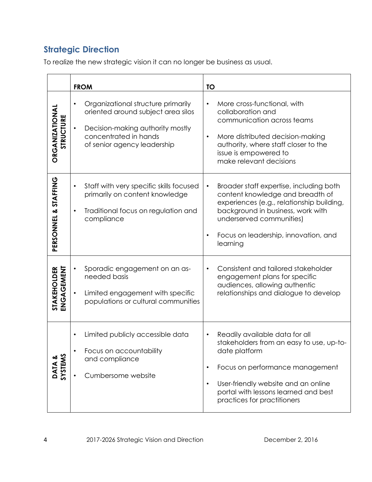# **Strategic Direction**

To realize the new strategic vision it can no longer be business as usual.

|                             | <b>FROM</b>                                                                                                                                                                                    | <b>TO</b>                                                                                                                                                                                                                                                                           |  |  |
|-----------------------------|------------------------------------------------------------------------------------------------------------------------------------------------------------------------------------------------|-------------------------------------------------------------------------------------------------------------------------------------------------------------------------------------------------------------------------------------------------------------------------------------|--|--|
| ORGANIZATIONAI<br>STRUCTURE | Organizational structure primarily<br>$\bullet$<br>oriented around subject area silos<br>Decision-making authority mostly<br>$\bullet$<br>concentrated in hands<br>of senior agency leadership | More cross-functional, with<br>$\bullet$<br>collaboration and<br>communication across teams<br>More distributed decision-making<br>$\bullet$<br>authority, where staff closer to the<br>issue is empowered to<br>make relevant decisions                                            |  |  |
| PERSONNEL & STAFFING        | Staff with very specific skills focused<br>$\bullet$<br>primarily on content knowledge<br>Traditional focus on regulation and<br>$\bullet$<br>compliance                                       | Broader staff expertise, including both<br>$\bullet$<br>content knowledge and breadth of<br>experiences (e.g., relationship building,<br>background in business, work with<br>underserved communities)<br>Focus on leadership, innovation, and<br>$\bullet$<br>learning             |  |  |
| STAKEHOLDER<br>ENGAGEMENT   | Sporadic engagement on an as-<br>needed basis<br>Limited engagement with specific<br>populations or cultural communities                                                                       | Consistent and tailored stakeholder<br>$\bullet$<br>engagement plans for specific<br>audiences, allowing authentic<br>relationships and dialogue to develop                                                                                                                         |  |  |
| DATA &<br>SYSTEMS           | Limited publicly accessible data<br>Focus on accountability<br>and compliance<br>Cumbersome website                                                                                            | Readily available data for all<br>$\bullet$<br>stakeholders from an easy to use, up-to-<br>date platform<br>Focus on performance management<br>$\bullet$<br>User-friendly website and an online<br>$\bullet$<br>portal with lessons learned and best<br>practices for practitioners |  |  |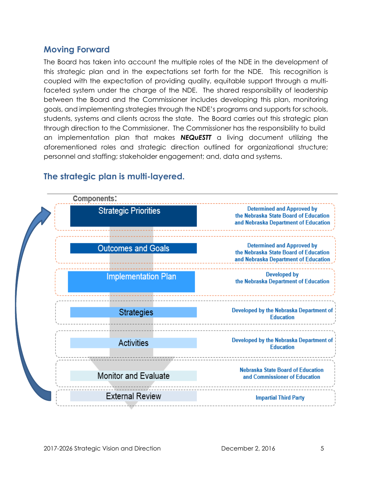# **Moving Forward**

The Board has taken into account the multiple roles of the NDE in the development of this strategic plan and in the expectations set forth for the NDE. This recognition is coupled with the expectation of providing quality, equitable support through a multifaceted system under the charge of the NDE. The shared responsibility of leadership between the Board and the Commissioner includes developing this plan, monitoring goals, and implementing strategies through the NDE's programs and supports for schools, students, systems and clients across the state. The Board carries out this strategic plan through direction to the Commissioner. The Commissioner has the responsibility to build an implementation plan that makes *NEQuESTT* a living document utilizing the aforementioned roles and strategic direction outlined for organizational structure; personnel and staffing; stakeholder engagement; and, data and systems.



# **The strategic plan is multi-layered.**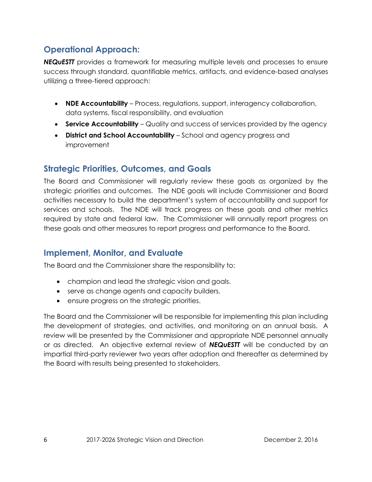# **Operational Approach:**

*NEQuESTT* provides a framework for measuring multiple levels and processes to ensure success through standard, quantifiable metrics, artifacts, and evidence-based analyses utilizing a three-tiered approach:

- **NDE Accountability** Process, regulations, support, interagency collaboration, data systems, fiscal responsibility, and evaluation
- **Service Accountability** Quality and success of services provided by the agency
- **District and School Accountability** School and agency progress and improvement

# **Strategic Priorities, Outcomes, and Goals**

The Board and Commissioner will regularly review these goals as organized by the strategic priorities and outcomes. The NDE goals will include Commissioner and Board activities necessary to build the department's system of accountability and support for services and schools. The NDE will track progress on these goals and other metrics required by state and federal law. The Commissioner will annually report progress on these goals and other measures to report progress and performance to the Board.

# **Implement, Monitor, and Evaluate**

The Board and the Commissioner share the responsibility to:

- champion and lead the strategic vision and goals.
- serve as change agents and capacity builders.
- ensure progress on the strategic priorities.

The Board and the Commissioner will be responsible for implementing this plan including the development of strategies, and activities, and monitoring on an annual basis. A review will be presented by the Commissioner and appropriate NDE personnel annually or as directed. An objective external review of *NEQuESTT* will be conducted by an impartial third-party reviewer two years after adoption and thereafter as determined by the Board with results being presented to stakeholders.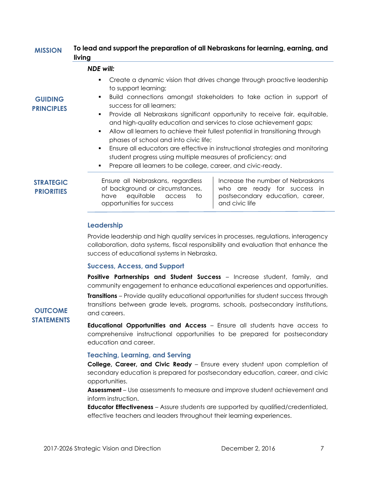#### **To lead and support the preparation of all Nebraskans for learning, earning, and living MISSION**

#### *NDE will:*

- Create a dynamic vision that drives change through proactive leadership to support learning;
- Build connections amongst stakeholders to take action in support of success for all learners;
- Provide all Nebraskans significant opportunity to receive fair, equitable, and high-quality education and services to close achievement gaps;
- Allow all learners to achieve their fullest potential in transitioning through phases of school and into civic life;
- Ensure all educators are effective in instructional strategies and monitoring student progress using multiple measures of proficiency; and
- Prepare all learners to be college, career, and civic-ready.

| <b>STRATEGIC</b>  | Ensure all Nebraskans, regardless |                                 |  |  |
|-------------------|-----------------------------------|---------------------------------|--|--|
| <b>PRIORITIES</b> |                                   | of background or circumstances, |  |  |
|                   |                                   | have eauitable access to        |  |  |

Increase the number of Nebraskans who are ready for success in postsecondary education, career, and civic life

## **Leadership**

Provide leadership and high quality services in processes, regulations, interagency collaboration, data systems, fiscal responsibility and evaluation that enhance the success of educational systems in Nebraska.

#### **Success, Access, and Support**

opportunities for success

**Positive Partnerships and Student Success** – Increase student, family, and community engagement to enhance educational experiences and opportunities.

**Transitions** – Provide quality educational opportunities for student success through transitions between grade levels, programs, schools, postsecondary institutions, and careers.

## **OUTCOME STATEMENTS**

**GUIDING PRINCIPLES**

> **Educational Opportunities and Access** – Ensure all students have access to comprehensive instructional opportunities to be prepared for postsecondary education and career.

#### **Teaching, Learning, and Serving**

**College, Career, and Civic Ready** – Ensure every student upon completion of secondary education is prepared for postsecondary education, career, and civic opportunities.

**Assessment** – Use assessments to measure and improve student achievement and inform instruction.

**Educator Effectiveness** – Assure students are supported by qualified/credentialed, effective teachers and leaders throughout their learning experiences.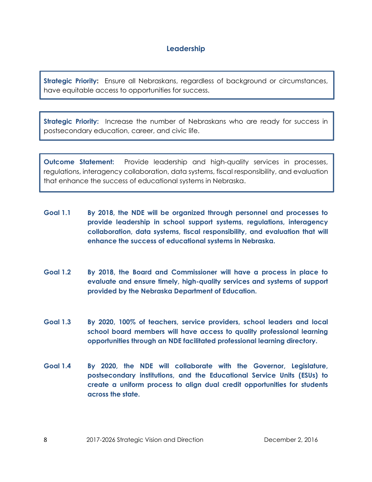## **Leadership**

**Strategic Priority:** Ensure all Nebraskans, regardless of background or circumstances, have equitable access to opportunities for success.

**Strategic Priority:** Increase the number of Nebraskans who are ready for success in postsecondary education, career, and civic life.

**Outcome Statement:** Provide leadership and high-quality services in processes, regulations, interagency collaboration, data systems, fiscal responsibility, and evaluation that enhance the success of educational systems in Nebraska.

- **Goal 1.1 By 2018, the NDE will be organized through personnel and processes to provide leadership in school support systems, regulations, interagency collaboration, data systems, fiscal responsibility, and evaluation that will enhance the success of educational systems in Nebraska.**
- **Goal 1.2 By 2018, the Board and Commissioner will have a process in place to evaluate and ensure timely, high-quality services and systems of support provided by the Nebraska Department of Education.**
- **Goal 1.3 By 2020, 100% of teachers, service providers, school leaders and local school board members will have access to quality professional learning opportunities through an NDE facilitated professional learning directory.**
- **Goal 1.4 By 2020, the NDE will collaborate with the Governor, Legislature, postsecondary institutions, and the Educational Service Units (ESUs) to create a uniform process to align dual credit opportunities for students across the state.**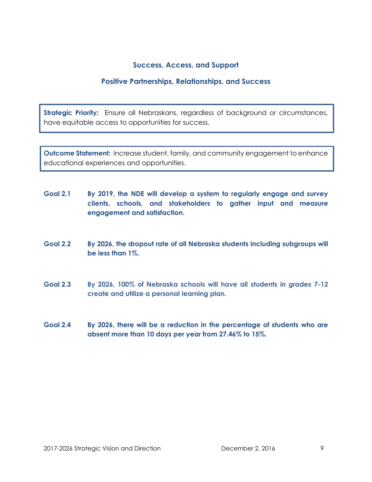## **Success, Access, and Support**

## **Positive Partnerships, Relationships, and Success**

**Strategic Priority:** Ensure all Nebraskans, regardless of background or circumstances, have equitable access to opportunities for success.

**Outcome Statement:** Increase student, family, and community engagement to enhance educational experiences and opportunities.

- **Goal 2.1 By 2019, the NDE will develop a system to regularly engage and survey clients, schools, and stakeholders to gather input and measure engagement and satisfaction.**
- **Goal 2.2 By 2026, the dropout rate of all Nebraska students including subgroups will be less than 1%.**
- **Goal 2.3 By 2026, 100% of Nebraska schools will have all students in grades 7-12 create and utilize a personal learning plan.**
- **Goal 2.4 By 2026, there will be a reduction in the percentage of students who are absent more than 10 days per year from 27.46% to 15%.**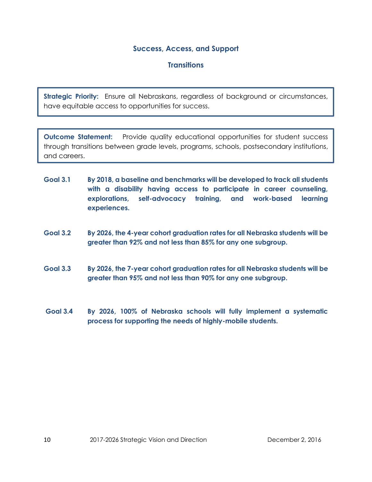## **Success, Access, and Support**

## **Transitions**

**Strategic Priority:** Ensure all Nebraskans, regardless of background or circumstances, have equitable access to opportunities for success.

**Outcome Statement:** Provide quality educational opportunities for student success through transitions between grade levels, programs, schools, postsecondary institutions, and careers.

- **Goal 3.1 By 2018, a baseline and benchmarks will be developed to track all students with a disability having access to participate in career counseling, explorations, self-advocacy training, and work-based learning experiences.**
- **Goal 3.2 By 2026, the 4-year cohort graduation rates for all Nebraska students will be greater than 92% and not less than 85% for any one subgroup.**
- **Goal 3.3 By 2026, the 7-year cohort graduation rates for all Nebraska students will be greater than 95% and not less than 90% for any one subgroup.**
- **Goal 3.4 By 2026, 100% of Nebraska schools will fully implement a systematic process for supporting the needs of highly-mobile students.**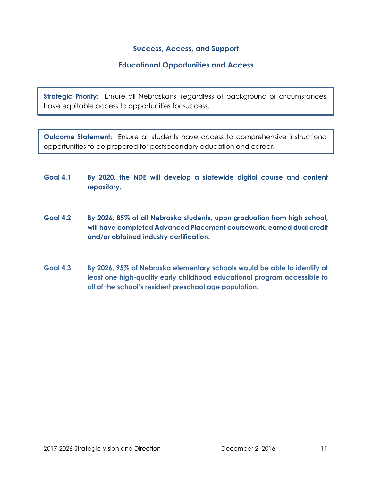## **Success, Access, and Support**

## **Educational Opportunities and Access**

**Strategic Priority:** Ensure all Nebraskans, regardless of background or circumstances, have equitable access to opportunities for success.

**Outcome Statement:** Ensure all students have access to comprehensive instructional opportunities to be prepared for postsecondary education and career.

- **Goal 4.1 By 2020, the NDE will develop a statewide digital course and content repository.**
- **Goal 4.2 By 2026, 85% of all Nebraska students, upon graduation from high school, will have completed Advanced Placement coursework, earned dual credit and/or obtained industry certification.**
- **Goal 4.3 By 2026, 95% of Nebraska elementary schools would be able to identify at least one high-quality early childhood educational program accessible to all of the school's resident preschool age population.**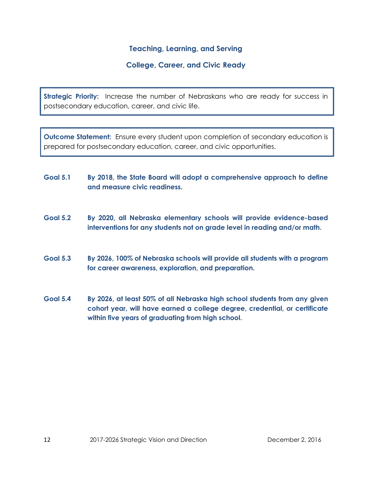## **Teaching, Learning, and Serving**

## **College, Career, and Civic Ready**

**Strategic Priority:** Increase the number of Nebraskans who are ready for success in postsecondary education, career, and civic life.

**Outcome Statement:** Ensure every student upon completion of secondary education is prepared for postsecondary education, career, and civic opportunities.

- **Goal 5.1 By 2018, the State Board will adopt a comprehensive approach to define and measure civic readiness.**
- **Goal 5.2 By 2020, all Nebraska elementary schools will provide evidence-based interventions for any students not on grade level in reading and/or math.**
- **Goal 5.3 By 2026, 100% of Nebraska schools will provide all students with a program for career awareness, exploration, and preparation.**
- **Goal 5.4 By 2026, at least 50% of all Nebraska high school students from any given cohort year, will have earned a college degree, credential, or certificate within five years of graduating from high school.**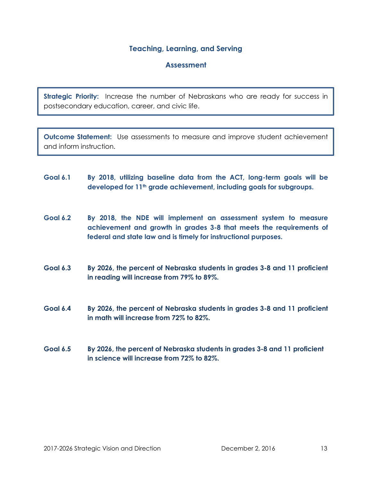## **Teaching, Learning, and Serving**

## **Assessment**

**Strategic Priority:** Increase the number of Nebraskans who are ready for success in postsecondary education, career, and civic life.

**Outcome Statement:** Use assessments to measure and improve student achievement and inform instruction.

- **Goal 6.1 By 2018, utilizing baseline data from the ACT, long-term goals will be developed for 11th grade achievement, including goals for subgroups.**
- **Goal 6.2 By 2018, the NDE will implement an assessment system to measure achievement and growth in grades 3-8 that meets the requirements of federal and state law and is timely for instructional purposes.**
- **Goal 6.3 By 2026, the percent of Nebraska students in grades 3-8 and 11 proficient in reading will increase from 79% to 89%.**
- **Goal 6.4 By 2026, the percent of Nebraska students in grades 3-8 and 11 proficient in math will increase from 72% to 82%.**
- **Goal 6.5 By 2026, the percent of Nebraska students in grades 3-8 and 11 proficient in science will increase from 72% to 82%.**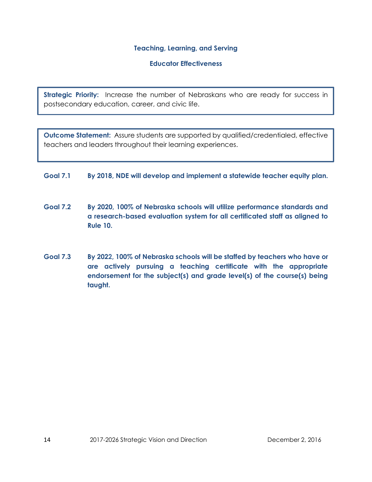#### **Teaching, Learning, and Serving**

#### **Educator Effectiveness**

**Strategic Priority:** Increase the number of Nebraskans who are ready for success in postsecondary education, career, and civic life.

**Outcome Statement:** Assure students are supported by qualified/credentialed, effective teachers and leaders throughout their learning experiences.

## **Goal 7.1 By 2018, NDE will develop and implement a statewide teacher equity plan.**

- **Goal 7.2 By 2020, 100% of Nebraska schools will utilize performance standards and a research-based evaluation system for all certificated staff as aligned to Rule 10.**
- **Goal 7.3 By 2022, 100% of Nebraska schools will be staffed by teachers who have or are actively pursuing a teaching certificate with the appropriate endorsement for the subject(s) and grade level(s) of the course(s) being taught.**